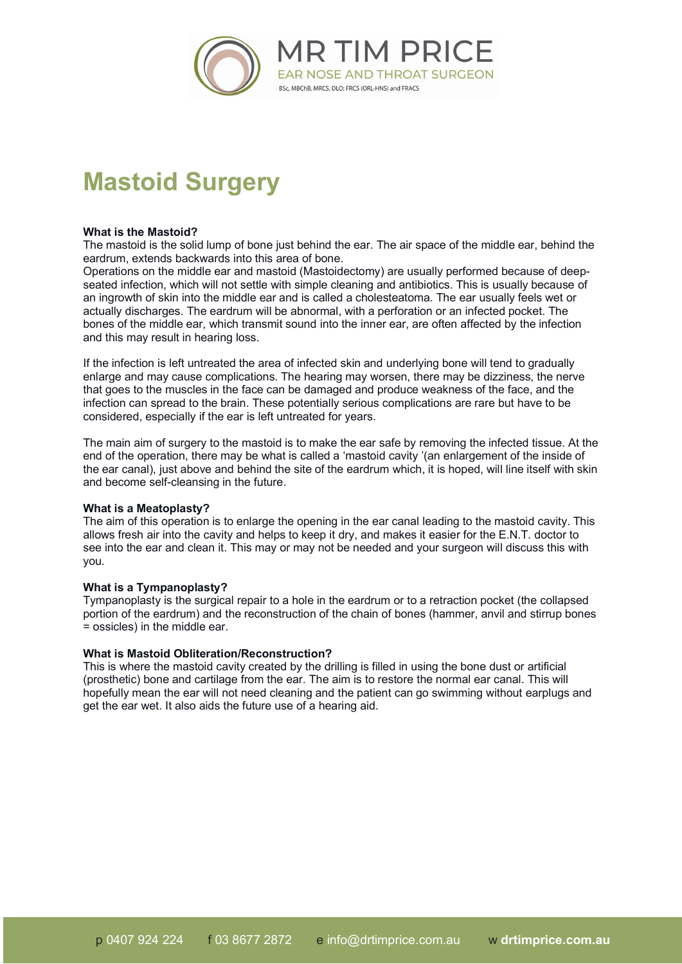

# **Mastoid Surgery**

# **What is the Mastoid?**

The mastoid is the solid lump of bone just behind the ear. The air space of the middle ear, behind the eardrum, extends backwards into this area of bone.

Operations on the middle ear and mastoid (Mastoidectomy) are usually performed because of deepseated infection, which will not settle with simple cleaning and antibiotics. This is usually because of an ingrowth of skin into the middle ear and is called a cholesteatoma. The ear usually feels wet or actually discharges. The eardrum will be abnormal, with a perforation or an infected pocket. The bones of the middle ear, which transmit sound into the inner ear, are often affected by the infection and this may result in hearing loss.

If the infection is left untreated the area of infected skin and underlying bone will tend to gradually enlarge and may cause complications. The hearing may worsen, there may be dizziness, the nerve that goes to the muscles in the face can be damaged and produce weakness of the face, and the infection can spread to the brain. These potentially serious complications are rare but have to be considered, especially if the ear is left untreated for years.

The main aim of surgery to the mastoid is to make the ear safe by removing the infected tissue. At the end of the operation, there may be what is called a 'mastoid cavity '(an enlargement of the inside of the ear canal), just above and behind the site of the eardrum which, it is hoped, will line itself with skin and become self-cleansing in the future.

# **What is a Meatoplasty?**

The aim of this operation is to enlarge the opening in the ear canal leading to the mastoid cavity. This allows fresh air into the cavity and helps to keep it dry, and makes it easier for the E.N.T. doctor to see into the ear and clean it. This may or may not be needed and your surgeon will discuss this with you.

# **What is a Tympanoplasty?**

Tympanoplasty is the surgical repair to a hole in the eardrum or to a retraction pocket (the collapsed portion of the eardrum) and the reconstruction of the chain of bones (hammer, anvil and stirrup bones = ossicles) in the middle ear.

#### **What is Mastoid Obliteration/Reconstruction?**

This is where the mastoid cavity created by the drilling is filled in using the bone dust or artificial (prosthetic) bone and cartilage from the ear. The aim is to restore the normal ear canal. This will hopefully mean the ear will not need cleaning and the patient can go swimming without earplugs and get the ear wet. It also aids the future use of a hearing aid.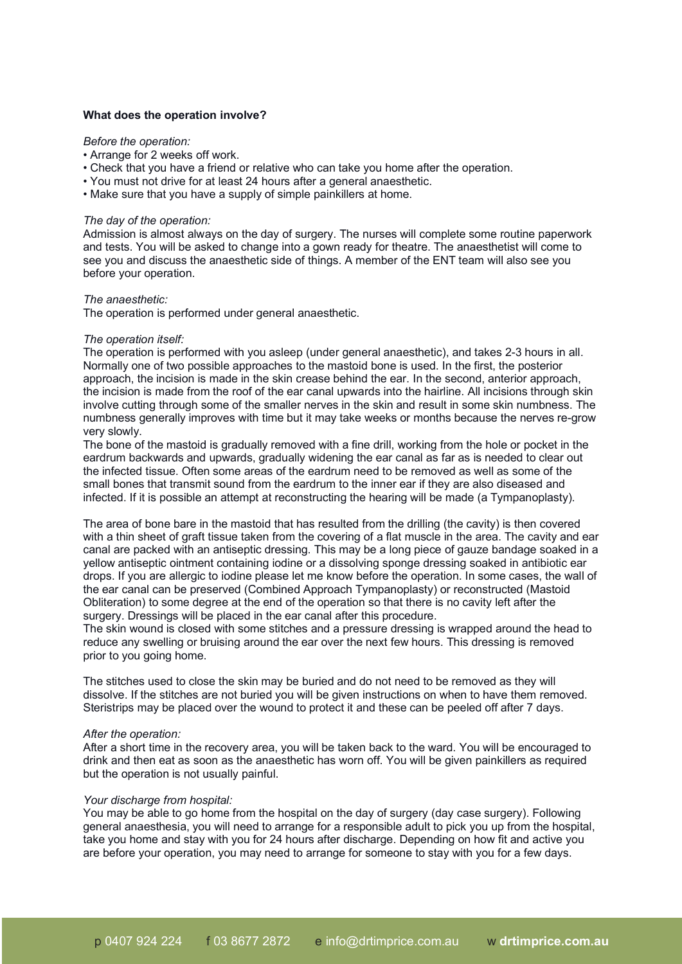# **What does the operation involve?**

# *Before the operation:*

- Arrange for 2 weeks off work.
- Check that you have a friend or relative who can take you home after the operation.
- You must not drive for at least 24 hours after a general anaesthetic.
- Make sure that you have a supply of simple painkillers at home.

#### *The day of the operation:*

Admission is almost always on the day of surgery. The nurses will complete some routine paperwork and tests. You will be asked to change into a gown ready for theatre. The anaesthetist will come to see you and discuss the anaesthetic side of things. A member of the ENT team will also see you before your operation.

#### *The anaesthetic:*

The operation is performed under general anaesthetic.

#### *The operation itself:*

The operation is performed with you asleep (under general anaesthetic), and takes 2-3 hours in all. Normally one of two possible approaches to the mastoid bone is used. In the first, the posterior approach, the incision is made in the skin crease behind the ear. In the second, anterior approach, the incision is made from the roof of the ear canal upwards into the hairline. All incisions through skin involve cutting through some of the smaller nerves in the skin and result in some skin numbness. The numbness generally improves with time but it may take weeks or months because the nerves re-grow very slowly.

The bone of the mastoid is gradually removed with a fine drill, working from the hole or pocket in the eardrum backwards and upwards, gradually widening the ear canal as far as is needed to clear out the infected tissue. Often some areas of the eardrum need to be removed as well as some of the small bones that transmit sound from the eardrum to the inner ear if they are also diseased and infected. If it is possible an attempt at reconstructing the hearing will be made (a Tympanoplasty).

The area of bone bare in the mastoid that has resulted from the drilling (the cavity) is then covered with a thin sheet of graft tissue taken from the covering of a flat muscle in the area. The cavity and ear canal are packed with an antiseptic dressing. This may be a long piece of gauze bandage soaked in a yellow antiseptic ointment containing iodine or a dissolving sponge dressing soaked in antibiotic ear drops. If you are allergic to iodine please let me know before the operation. In some cases, the wall of the ear canal can be preserved (Combined Approach Tympanoplasty) or reconstructed (Mastoid Obliteration) to some degree at the end of the operation so that there is no cavity left after the surgery. Dressings will be placed in the ear canal after this procedure.

The skin wound is closed with some stitches and a pressure dressing is wrapped around the head to reduce any swelling or bruising around the ear over the next few hours. This dressing is removed prior to you going home.

The stitches used to close the skin may be buried and do not need to be removed as they will dissolve. If the stitches are not buried you will be given instructions on when to have them removed. Steristrips may be placed over the wound to protect it and these can be peeled off after 7 days.

#### *After the operation:*

After a short time in the recovery area, you will be taken back to the ward. You will be encouraged to drink and then eat as soon as the anaesthetic has worn off. You will be given painkillers as required but the operation is not usually painful.

#### *Your discharge from hospital:*

You may be able to go home from the hospital on the day of surgery (day case surgery). Following general anaesthesia, you will need to arrange for a responsible adult to pick you up from the hospital, take you home and stay with you for 24 hours after discharge. Depending on how fit and active you are before your operation, you may need to arrange for someone to stay with you for a few days.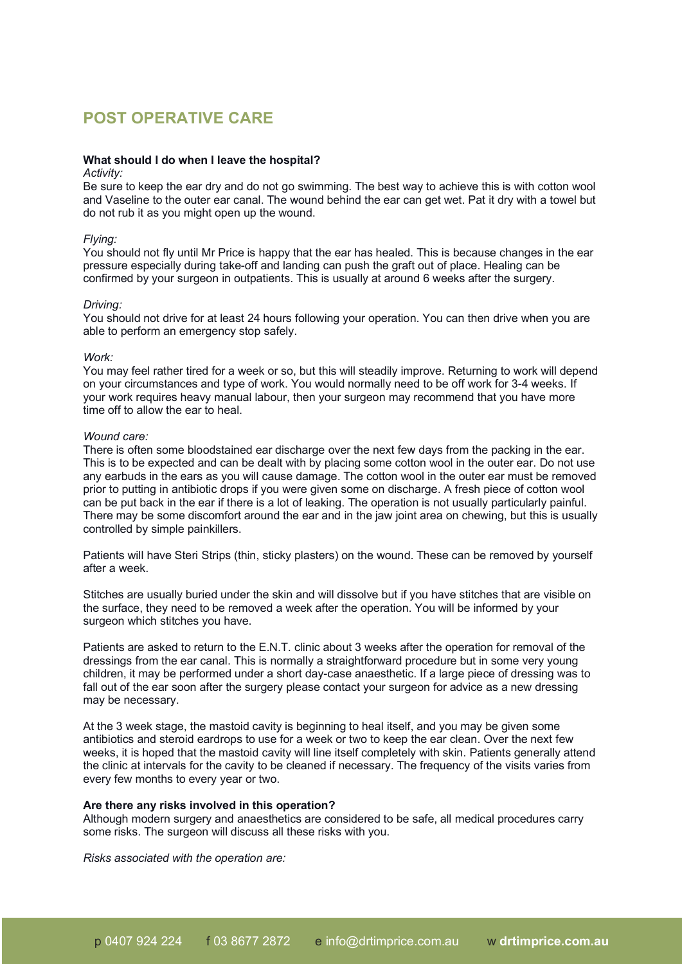# **POST OPERATIVE CARE**

# **What should I do when I leave the hospital?**

### *Activity:*

Be sure to keep the ear dry and do not go swimming. The best way to achieve this is with cotton wool and Vaseline to the outer ear canal. The wound behind the ear can get wet. Pat it dry with a towel but do not rub it as you might open up the wound.

#### *Flying:*

You should not fly until Mr Price is happy that the ear has healed. This is because changes in the ear pressure especially during take-off and landing can push the graft out of place. Healing can be confirmed by your surgeon in outpatients. This is usually at around 6 weeks after the surgery.

#### *Driving:*

You should not drive for at least 24 hours following your operation. You can then drive when you are able to perform an emergency stop safely.

#### *Work:*

You may feel rather tired for a week or so, but this will steadily improve. Returning to work will depend on your circumstances and type of work. You would normally need to be off work for 3-4 weeks. If your work requires heavy manual labour, then your surgeon may recommend that you have more time off to allow the ear to heal.

## *Wound care:*

There is often some bloodstained ear discharge over the next few days from the packing in the ear. This is to be expected and can be dealt with by placing some cotton wool in the outer ear. Do not use any earbuds in the ears as you will cause damage. The cotton wool in the outer ear must be removed prior to putting in antibiotic drops if you were given some on discharge. A fresh piece of cotton wool can be put back in the ear if there is a lot of leaking. The operation is not usually particularly painful. There may be some discomfort around the ear and in the jaw joint area on chewing, but this is usually controlled by simple painkillers.

Patients will have Steri Strips (thin, sticky plasters) on the wound. These can be removed by yourself after a week.

Stitches are usually buried under the skin and will dissolve but if you have stitches that are visible on the surface, they need to be removed a week after the operation. You will be informed by your surgeon which stitches you have.

Patients are asked to return to the E.N.T. clinic about 3 weeks after the operation for removal of the dressings from the ear canal. This is normally a straightforward procedure but in some very young children, it may be performed under a short day-case anaesthetic. If a large piece of dressing was to fall out of the ear soon after the surgery please contact your surgeon for advice as a new dressing may be necessary.

At the 3 week stage, the mastoid cavity is beginning to heal itself, and you may be given some antibiotics and steroid eardrops to use for a week or two to keep the ear clean. Over the next few weeks, it is hoped that the mastoid cavity will line itself completely with skin. Patients generally attend the clinic at intervals for the cavity to be cleaned if necessary. The frequency of the visits varies from every few months to every year or two.

# **Are there any risks involved in this operation?**

Although modern surgery and anaesthetics are considered to be safe, all medical procedures carry some risks. The surgeon will discuss all these risks with you.

*Risks associated with the operation are:*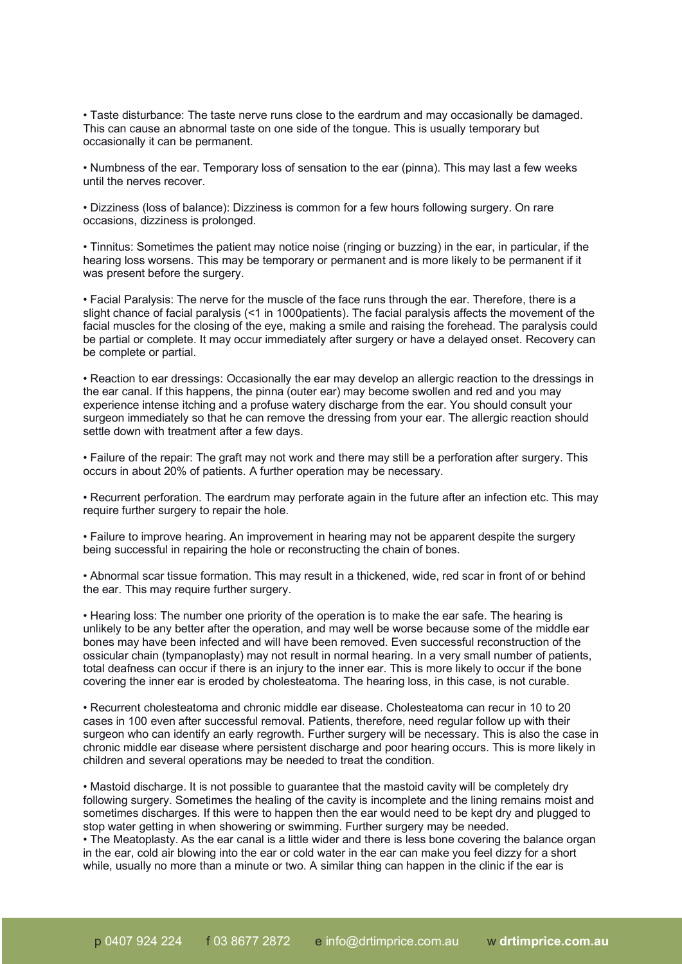• Taste disturbance: The taste nerve runs close to the eardrum and may occasionally be damaged. This can cause an abnormal taste on one side of the tongue. This is usually temporary but occasionally it can be permanent.

• Numbness of the ear. Temporary loss of sensation to the ear (pinna). This may last a few weeks until the nerves recover.

• Dizziness (loss of balance): Dizziness is common for a few hours following surgery. On rare occasions, dizziness is prolonged.

• Tinnitus: Sometimes the patient may notice noise (ringing or buzzing) in the ear, in particular, if the hearing loss worsens. This may be temporary or permanent and is more likely to be permanent if it was present before the surgery.

• Facial Paralysis: The nerve for the muscle of the face runs through the ear. Therefore, there is a slight chance of facial paralysis (<1 in 1000patients). The facial paralysis affects the movement of the facial muscles for the closing of the eye, making a smile and raising the forehead. The paralysis could be partial or complete. It may occur immediately after surgery or have a delayed onset. Recovery can be complete or partial.

• Reaction to ear dressings: Occasionally the ear may develop an allergic reaction to the dressings in the ear canal. If this happens, the pinna (outer ear) may become swollen and red and you may experience intense itching and a profuse watery discharge from the ear. You should consult your surgeon immediately so that he can remove the dressing from your ear. The allergic reaction should settle down with treatment after a few days.

• Failure of the repair: The graft may not work and there may still be a perforation after surgery. This occurs in about 20% of patients. A further operation may be necessary.

• Recurrent perforation. The eardrum may perforate again in the future after an infection etc. This may require further surgery to repair the hole.

• Failure to improve hearing. An improvement in hearing may not be apparent despite the surgery being successful in repairing the hole or reconstructing the chain of bones.

• Abnormal scar tissue formation. This may result in a thickened, wide, red scar in front of or behind the ear. This may require further surgery.

• Hearing loss: The number one priority of the operation is to make the ear safe. The hearing is unlikely to be any better after the operation, and may well be worse because some of the middle ear bones may have been infected and will have been removed. Even successful reconstruction of the ossicular chain (tympanoplasty) may not result in normal hearing. In a very small number of patients, total deafness can occur if there is an injury to the inner ear. This is more likely to occur if the bone covering the inner ear is eroded by cholesteatoma. The hearing loss, in this case, is not curable.

• Recurrent cholesteatoma and chronic middle ear disease. Cholesteatoma can recur in 10 to 20 cases in 100 even after successful removal. Patients, therefore, need regular follow up with their surgeon who can identify an early regrowth. Further surgery will be necessary. This is also the case in chronic middle ear disease where persistent discharge and poor hearing occurs. This is more likely in children and several operations may be needed to treat the condition.

• Mastoid discharge. It is not possible to guarantee that the mastoid cavity will be completely dry following surgery. Sometimes the healing of the cavity is incomplete and the lining remains moist and sometimes discharges. If this were to happen then the ear would need to be kept dry and plugged to stop water getting in when showering or swimming. Further surgery may be needed. • The Meatoplasty. As the ear canal is a little wider and there is less bone covering the balance organ in the ear, cold air blowing into the ear or cold water in the ear can make you feel dizzy for a short while, usually no more than a minute or two. A similar thing can happen in the clinic if the ear is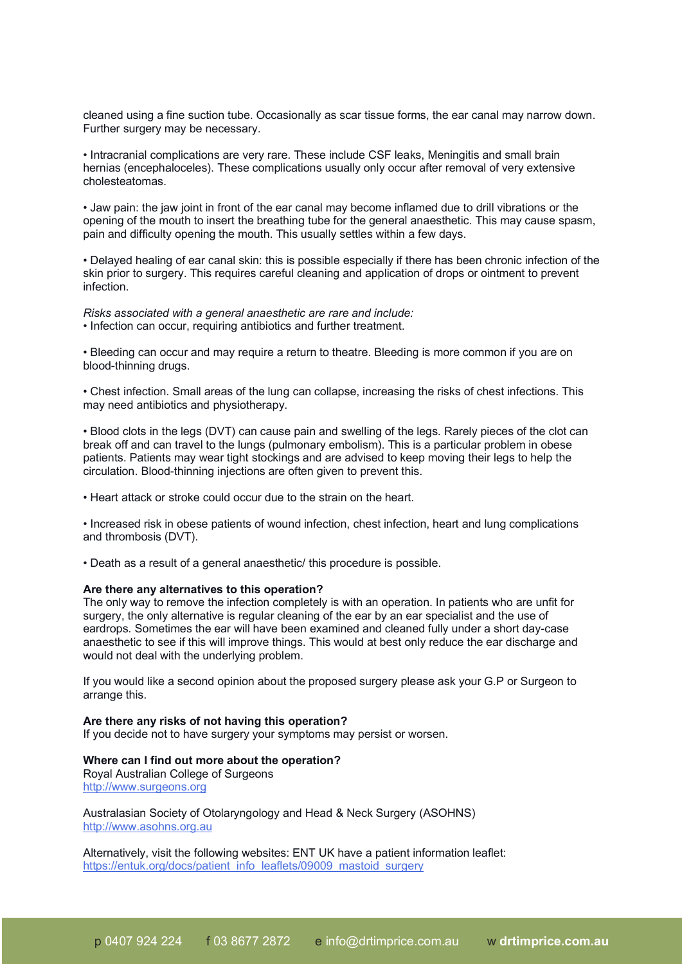cleaned using a fine suction tube. Occasionally as scar tissue forms, the ear canal may narrow down. Further surgery may be necessary.

• Intracranial complications are very rare. These include CSF leaks, Meningitis and small brain hernias (encephaloceles). These complications usually only occur after removal of very extensive cholesteatomas.

• Jaw pain: the jaw joint in front of the ear canal may become inflamed due to drill vibrations or the opening of the mouth to insert the breathing tube for the general anaesthetic. This may cause spasm, pain and difficulty opening the mouth. This usually settles within a few days.

• Delayed healing of ear canal skin: this is possible especially if there has been chronic infection of the skin prior to surgery. This requires careful cleaning and application of drops or ointment to prevent infection.

*Risks associated with a general anaesthetic are rare and include:* • Infection can occur, requiring antibiotics and further treatment.

• Bleeding can occur and may require a return to theatre. Bleeding is more common if you are on blood-thinning drugs.

• Chest infection. Small areas of the lung can collapse, increasing the risks of chest infections. This may need antibiotics and physiotherapy.

• Blood clots in the legs (DVT) can cause pain and swelling of the legs. Rarely pieces of the clot can break off and can travel to the lungs (pulmonary embolism). This is a particular problem in obese patients. Patients may wear tight stockings and are advised to keep moving their legs to help the circulation. Blood-thinning injections are often given to prevent this.

• Heart attack or stroke could occur due to the strain on the heart.

• Increased risk in obese patients of wound infection, chest infection, heart and lung complications and thrombosis (DVT).

• Death as a result of a general anaesthetic/ this procedure is possible.

### **Are there any alternatives to this operation?**

The only way to remove the infection completely is with an operation. In patients who are unfit for surgery, the only alternative is regular cleaning of the ear by an ear specialist and the use of eardrops. Sometimes the ear will have been examined and cleaned fully under a short day-case anaesthetic to see if this will improve things. This would at best only reduce the ear discharge and would not deal with the underlying problem.

If you would like a second opinion about the proposed surgery please ask your G.P or Surgeon to arrange this.

# **Are there any risks of not having this operation?**

If you decide not to have surgery your symptoms may persist or worsen.

#### **Where can I find out more about the operation?** Royal Australian College of Surgeons

http://www.surgeons.org

Australasian Society of Otolaryngology and Head & Neck Surgery (ASOHNS) http://www.asohns.org.au

Alternatively, visit the following websites: ENT UK have a patient information leaflet: https://entuk.org/docs/patient\_info\_leaflets/09009\_mastoid\_surgery